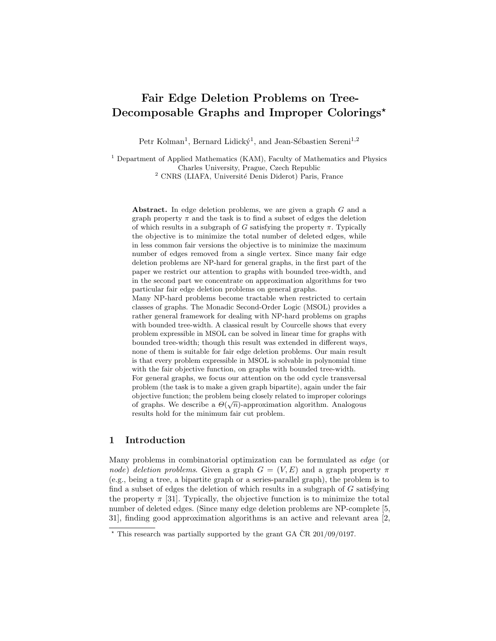# Fair Edge Deletion Problems on Tree-Decomposable Graphs and Improper Colorings<sup>\*</sup>

Petr Kolman<sup>1</sup>, Bernard Lidický<sup>1</sup>, and Jean-Sébastien Sereni<sup>1,2</sup>

<sup>1</sup> Department of Applied Mathematics (KAM), Faculty of Mathematics and Physics Charles University, Prague, Czech Republic <sup>2</sup> CNRS (LIAFA, Université Denis Diderot) Paris, France

Abstract. In edge deletion problems, we are given a graph G and a graph property  $\pi$  and the task is to find a subset of edges the deletion of which results in a subgraph of G satisfying the property  $\pi$ . Typically the objective is to minimize the total number of deleted edges, while in less common fair versions the objective is to minimize the maximum number of edges removed from a single vertex. Since many fair edge deletion problems are NP-hard for general graphs, in the first part of the paper we restrict our attention to graphs with bounded tree-width, and in the second part we concentrate on approximation algorithms for two particular fair edge deletion problems on general graphs.

Many NP-hard problems become tractable when restricted to certain classes of graphs. The Monadic Second-Order Logic (MSOL) provides a rather general framework for dealing with NP-hard problems on graphs with bounded tree-width. A classical result by Courcelle shows that every problem expressible in MSOL can be solved in linear time for graphs with bounded tree-width; though this result was extended in different ways, none of them is suitable for fair edge deletion problems. Our main result is that every problem expressible in MSOL is solvable in polynomial time with the fair objective function, on graphs with bounded tree-width.

For general graphs, we focus our attention on the odd cycle transversal problem (the task is to make a given graph bipartite), again under the fair objective function; the problem being closely related to improper colorings of graphs. We describe a  $\Theta(\sqrt{n})$ -approximation algorithm. Analogous results hold for the minimum fair cut problem.

# 1 Introduction

Many problems in combinatorial optimization can be formulated as edge (or node) deletion problems. Given a graph  $G = (V, E)$  and a graph property  $\pi$ (e.g., being a tree, a bipartite graph or a series-parallel graph), the problem is to find a subset of edges the deletion of which results in a subgraph of G satisfying the property  $\pi$  [31]. Typically, the objective function is to minimize the total number of deleted edges. (Since many edge deletion problems are NP-complete [5, 31], finding good approximation algorithms is an active and relevant area [2,

 $*$  This research was partially supported by the grant GA ČR 201/09/0197.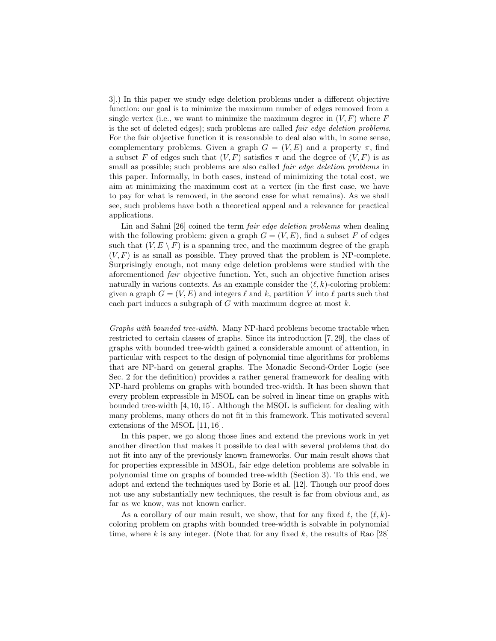3].) In this paper we study edge deletion problems under a different objective function: our goal is to minimize the maximum number of edges removed from a single vertex (i.e., we want to minimize the maximum degree in  $(V, F)$  where F is the set of deleted edges); such problems are called fair edge deletion problems. For the fair objective function it is reasonable to deal also with, in some sense, complementary problems. Given a graph  $G = (V, E)$  and a property  $\pi$ , find a subset F of edges such that  $(V, F)$  satisfies  $\pi$  and the degree of  $(V, F)$  is as small as possible; such problems are also called *fair edge deletion problems* in this paper. Informally, in both cases, instead of minimizing the total cost, we aim at minimizing the maximum cost at a vertex (in the first case, we have to pay for what is removed, in the second case for what remains). As we shall see, such problems have both a theoretical appeal and a relevance for practical applications.

Lin and Sahni [26] coined the term *fair edge deletion problems* when dealing with the following problem: given a graph  $G = (V, E)$ , find a subset F of edges such that  $(V, E \setminus F)$  is a spanning tree, and the maximum degree of the graph  $(V, F)$  is as small as possible. They proved that the problem is NP-complete. Surprisingly enough, not many edge deletion problems were studied with the aforementioned fair objective function. Yet, such an objective function arises naturally in various contexts. As an example consider the  $(\ell, k)$ -coloring problem: given a graph  $G = (V, E)$  and integers  $\ell$  and k, partition V into  $\ell$  parts such that each part induces a subgraph of  $G$  with maximum degree at most  $k$ .

Graphs with bounded tree-width. Many NP-hard problems become tractable when restricted to certain classes of graphs. Since its introduction [7, 29], the class of graphs with bounded tree-width gained a considerable amount of attention, in particular with respect to the design of polynomial time algorithms for problems that are NP-hard on general graphs. The Monadic Second-Order Logic (see Sec. 2 for the definition) provides a rather general framework for dealing with NP-hard problems on graphs with bounded tree-width. It has been shown that every problem expressible in MSOL can be solved in linear time on graphs with bounded tree-width [4, 10, 15]. Although the MSOL is sufficient for dealing with many problems, many others do not fit in this framework. This motivated several extensions of the MSOL [11, 16].

In this paper, we go along those lines and extend the previous work in yet another direction that makes it possible to deal with several problems that do not fit into any of the previously known frameworks. Our main result shows that for properties expressible in MSOL, fair edge deletion problems are solvable in polynomial time on graphs of bounded tree-width (Section 3). To this end, we adopt and extend the techniques used by Borie et al. [12]. Though our proof does not use any substantially new techniques, the result is far from obvious and, as far as we know, was not known earlier.

As a corollary of our main result, we show, that for any fixed  $\ell$ , the  $(\ell, k)$ coloring problem on graphs with bounded tree-width is solvable in polynomial time, where k is any integer. (Note that for any fixed k, the results of Rao [28]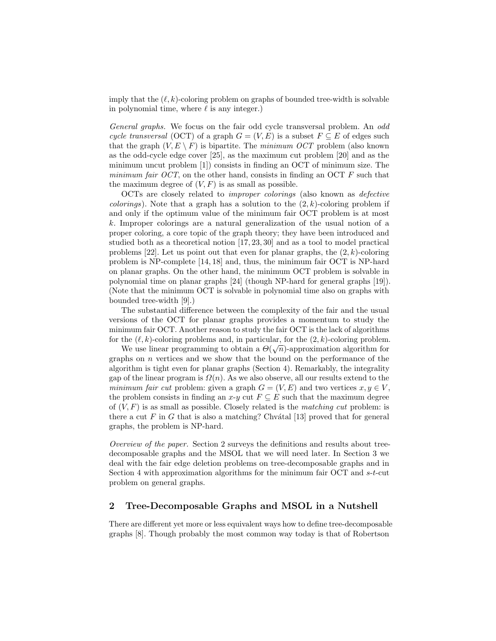imply that the  $(\ell, k)$ -coloring problem on graphs of bounded tree-width is solvable in polynomial time, where  $\ell$  is any integer.)

General graphs. We focus on the fair odd cycle transversal problem. An odd cycle transversal (OCT) of a graph  $G = (V, E)$  is a subset  $F \subseteq E$  of edges such that the graph  $(V, E \setminus F)$  is bipartite. The minimum OCT problem (also known as the odd-cycle edge cover [25], as the maximum cut problem [20] and as the minimum uncut problem [1]) consists in finding an OCT of minimum size. The minimum fair  $OCT$ , on the other hand, consists in finding an  $OCT$  F such that the maximum degree of  $(V, F)$  is as small as possible.

OCTs are closely related to improper colorings (also known as defective *colorings*). Note that a graph has a solution to the  $(2, k)$ -coloring problem if and only if the optimum value of the minimum fair OCT problem is at most k. Improper colorings are a natural generalization of the usual notion of a proper coloring, a core topic of the graph theory; they have been introduced and studied both as a theoretical notion [17, 23, 30] and as a tool to model practical problems [22]. Let us point out that even for planar graphs, the  $(2, k)$ -coloring problem is NP-complete [14, 18] and, thus, the minimum fair OCT is NP-hard on planar graphs. On the other hand, the minimum OCT problem is solvable in polynomial time on planar graphs [24] (though NP-hard for general graphs [19]). (Note that the minimum OCT is solvable in polynomial time also on graphs with bounded tree-width [9].)

The substantial difference between the complexity of the fair and the usual versions of the OCT for planar graphs provides a momentum to study the minimum fair OCT. Another reason to study the fair OCT is the lack of algorithms for the  $(\ell, k)$ -coloring problems and, in particular, for the  $(2, k)$ -coloring problem.

We use linear programming to obtain a  $\Theta(\sqrt{n})$ -approximation algorithm for graphs on n vertices and we show that the bound on the performance of the algorithm is tight even for planar graphs (Section 4). Remarkably, the integrality gap of the linear program is  $\Omega(n)$ . As we also observe, all our results extend to the minimum fair cut problem: given a graph  $G = (V, E)$  and two vertices  $x, y \in V$ , the problem consists in finding an  $x-y$  cut  $F \subseteq E$  such that the maximum degree of  $(V, F)$  is as small as possible. Closely related is the matching cut problem: is there a cut  $F$  in  $G$  that is also a matching? Chvátal [13] proved that for general graphs, the problem is NP-hard.

Overview of the paper. Section 2 surveys the definitions and results about treedecomposable graphs and the MSOL that we will need later. In Section 3 we deal with the fair edge deletion problems on tree-decomposable graphs and in Section 4 with approximation algorithms for the minimum fair OCT and s-t-cut problem on general graphs.

### 2 Tree-Decomposable Graphs and MSOL in a Nutshell

There are different yet more or less equivalent ways how to define tree-decomposable graphs [8]. Though probably the most common way today is that of Robertson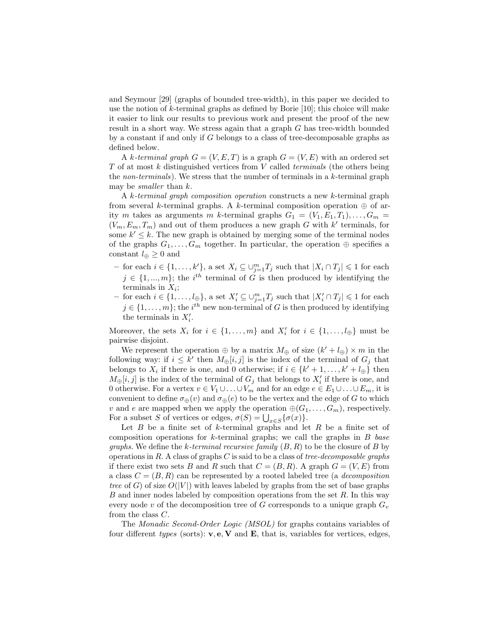and Seymour [29] (graphs of bounded tree-width), in this paper we decided to use the notion of  $k$ -terminal graphs as defined by Borie [10]; this choice will make it easier to link our results to previous work and present the proof of the new result in a short way. We stress again that a graph G has tree-width bounded by a constant if and only if G belongs to a class of tree-decomposable graphs as defined below.

A k-terminal graph  $G = (V, E, T)$  is a graph  $G = (V, E)$  with an ordered set T of at most k distinguished vertices from V called terminals (the others being the non-terminals). We stress that the number of terminals in a  $k$ -terminal graph may be smaller than k.

A k-terminal graph composition operation constructs a new k-terminal graph from several k-terminal graphs. A k-terminal composition operation  $\oplus$  of arity m takes as arguments m k-terminal graphs  $G_1 = (V_1, E_1, T_1), \ldots, G_m$  $(V_m, E_m, T_m)$  and out of them produces a new graph G with k' terminals, for some  $k' \leq k$ . The new graph is obtained by merging some of the terminal nodes of the graphs  $G_1, \ldots, G_m$  together. In particular, the operation  $\oplus$  specifies a constant  $l_{\oplus} \geq 0$  and

- for each  $i \in \{1, ..., k'\}$ , a set  $X_i$  ⊆ ∪ $_{j=1}^m T_j$  such that  $|X_i \cap T_j|$  ≤ 1 for each  $j \in \{1, ..., m\}$ ; the i<sup>th</sup> terminal of G is then produced by identifying the terminals in  $X_i$ ;
- $-$  for each  $i \in \{1, ..., l_{\oplus}\}\$ , a set  $X'_{i} \subseteq \bigcup_{j=1}^{m} T_{j}$  such that  $|X'_{i} \cap T_{j}|$  ≤ 1 for each  $j \in \{1, \ldots, m\}$ ; the i<sup>th</sup> new non-terminal of G is then produced by identifying the terminals in  $X_i'$ .

Moreover, the sets  $X_i$  for  $i \in \{1, ..., m\}$  and  $X'_i$  for  $i \in \{1, ..., l_{\oplus}\}\$  must be pairwise disjoint.

We represent the operation  $\oplus$  by a matrix  $M_{\oplus}$  of size  $(k' + l_{\oplus}) \times m$  in the following way: if  $i \leq k'$  then  $M_{\oplus}[i, j]$  is the index of the terminal of  $G_j$  that belongs to  $X_i$  if there is one, and 0 otherwise; if  $i \in \{k'+1,\ldots,k'+l_{\oplus}\}\)$  then  $M_{\oplus}[i, j]$  is the index of the terminal of  $G_j$  that belongs to  $X'_i$  if there is one, and 0 otherwise. For a vertex  $v \in V_1 \cup \ldots \cup V_m$  and for an edge  $e \in E_1 \cup \ldots \cup E_m$ , it is convenient to define  $\sigma_{\oplus}(v)$  and  $\sigma_{\oplus}(e)$  to be the vertex and the edge of G to which v and e are mapped when we apply the operation  $\oplus(G_1,\ldots,G_m)$ , respectively. For a subset S of vertices or edges,  $\sigma(S) = \bigcup_{x \in S} {\{\sigma(x)\}}$ .

Let  $B$  be a finite set of  $k$ -terminal graphs and let  $R$  be a finite set of composition operations for k-terminal graphs; we call the graphs in  $B$  base *graphs.* We define the k-terminal recursive family  $(B, R)$  to be the closure of B by operations in R. A class of graphs C is said to be a class of tree-decomposable graphs if there exist two sets B and R such that  $C = (B, R)$ . A graph  $G = (V, E)$  from a class  $C = (B, R)$  can be represented by a rooted labeled tree (a *decomposition* tree of G) of size  $O(|V|)$  with leaves labeled by graphs from the set of base graphs B and inner nodes labeled by composition operations from the set  $R$ . In this way every node v of the decomposition tree of G corresponds to a unique graph  $G_v$ from the class C.

The Monadic Second-Order Logic (MSOL) for graphs contains variables of four different types (sorts):  $v, e, V$  and  $E$ , that is, variables for vertices, edges,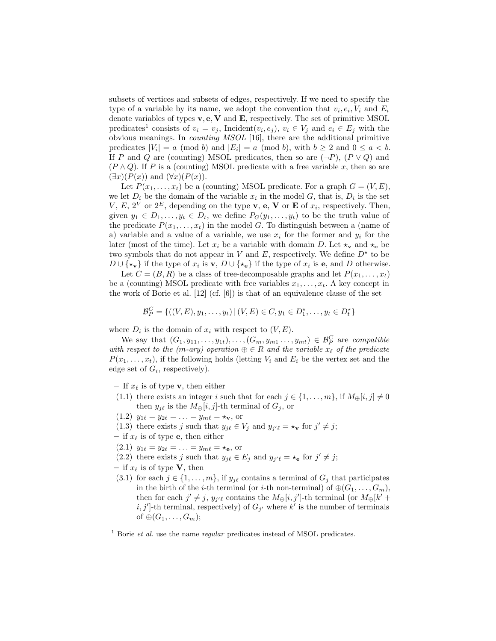subsets of vertices and subsets of edges, respectively. If we need to specify the type of a variable by its name, we adopt the convention that  $v_i, e_i, V_i$  and  $E_i$ denote variables of types  $v, e, V$  and  $E$ , respectively. The set of primitive MSOL predicates<sup>1</sup> consists of  $v_i = v_j$ , Incident $(v_i, e_j)$ ,  $v_i \in V_j$  and  $e_i \in E_j$  with the obvious meanings. In counting MSOL [16], there are the additional primitive predicates  $|V_i| = a \pmod{b}$  and  $|E_i| = a \pmod{b}$ , with  $b \ge 2$  and  $0 \le a < b$ . If P and Q are (counting) MSOL predicates, then so are  $(\neg P)$ ,  $(P \lor Q)$  and  $(P \wedge Q)$ . If P is a (counting) MSOL predicate with a free variable x, then so are  $(\exists x)(P(x))$  and  $(\forall x)(P(x))$ .

Let  $P(x_1, \ldots, x_t)$  be a (counting) MSOL predicate. For a graph  $G = (V, E)$ , we let  $D_i$  be the domain of the variable  $x_i$  in the model G, that is,  $D_i$  is the set  $V, E, 2^V$  or  $2^E$ , depending on the type **v**, **e**, **V** or **E** of  $x_i$ , respectively. Then, given  $y_1 \in D_1, \ldots, y_t \in D_t$ , we define  $P_G(y_1, \ldots, y_t)$  to be the truth value of the predicate  $P(x_1, \ldots, x_t)$  in the model G. To distinguish between a (name of a) variable and a value of a variable, we use  $x_i$  for the former and  $y_i$  for the later (most of the time). Let  $x_i$  be a variable with domain D. Let  $\star_v$  and  $\star_e$  be two symbols that do not appear in V and E, respectively. We define  $D^*$  to be  $D \cup \{\star_{\mathbf{v}}\}$  if the type of  $x_i$  is  $\mathbf{v}, D \cup \{\star_{\mathbf{e}}\}$  if the type of  $x_i$  is  $\mathbf{e}, \text{ and } D$  otherwise.

Let  $C = (B, R)$  be a class of tree-decomposable graphs and let  $P(x_1, \ldots, x_t)$ be a (counting) MSOL predicate with free variables  $x_1, \ldots, x_t$ . A key concept in the work of Borie et al. [12] (cf. [6]) is that of an equivalence classe of the set

$$
\mathcal{B}_P^C = \{ ((V, E), y_1, \dots, y_t) \mid (V, E) \in C, y_1 \in D_1^*, \dots, y_t \in D_t^* \}
$$

where  $D_i$  is the domain of  $x_i$  with respect to  $(V, E)$ .

We say that  $(G_1, y_{11}, \ldots, y_{1t}), \ldots, (G_m, y_{m1}, \ldots, y_{mt}) \in \mathcal{B}_P^C$  are compatible with respect to the (m-ary) operation  $\oplus \in R$  and the variable  $x_{\ell}$  of the predicate  $P(x_1, \ldots, x_t)$ , if the following holds (letting  $V_i$  and  $E_i$  be the vertex set and the edge set of  $G_i$ , respectively).

- If  $x_\ell$  is of type **v**, then either
- (1.1) there exists an integer i such that for each  $j \in \{1, \ldots, m\}$ , if  $M_{\oplus}[i, j] \neq 0$ then  $y_{j\ell}$  is the  $M_{\oplus}[i, j]$ -th terminal of  $G_j$ , or
- $(1.2)$   $y_{1\ell} = y_{2\ell} = \ldots = y_{m\ell} = \star_v$ , or
- (1.3) there exists j such that  $y_{j\ell} \in V_j$  and  $y_{j'\ell} = \star_v$  for  $j' \neq j$ ;
- if  $x_\ell$  is of type **e**, then either
- $(2.1)$   $y_{1\ell} = y_{2\ell} = \ldots = y_{m\ell} = \star_{\mathbf{e}},$  or
- (2.2) there exists j such that  $y_{j\ell} \in E_j$  and  $y_{j'\ell} = \star_{\mathbf{e}}$  for  $j' \neq j$ ;
- if  $x_{\ell}$  is of type **V**, then
- (3.1) for each  $j \in \{1, \ldots, m\}$ , if  $y_{j\ell}$  contains a terminal of  $G_j$  that participates in the birth of the *i*-th terminal (or *i*-th non-terminal) of  $\oplus$  ( $G_1, \ldots, G_m$ ), then for each  $j' \neq j$ ,  $y_{j'}\ell$  contains the  $M_{\oplus}[i, j']$ -th terminal (or  $M_{\oplus}[k'+1]$  $i, j'$ -th terminal, respectively) of  $G_{j'}$  where  $k'$  is the number of terminals of  $\oplus(G_1,\ldots,G_m);$

 $1$  Borie *et al.* use the name *regular* predicates instead of MSOL predicates.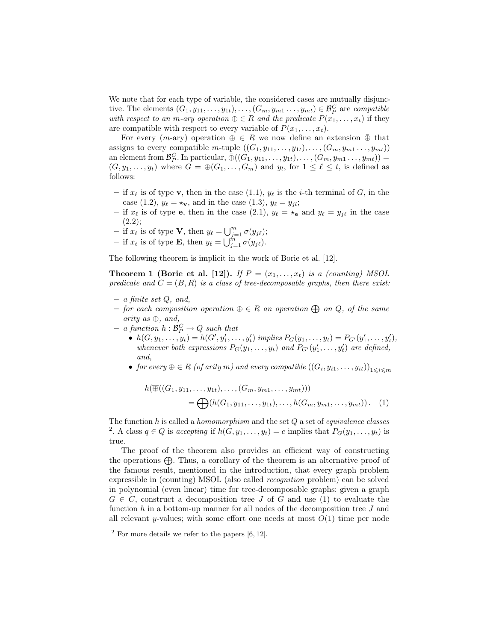We note that for each type of variable, the considered cases are mutually disjunctive. The elements  $(G_1, y_{11}, \ldots, y_{1t}), \ldots, (G_m, y_{m1}, \ldots, y_{mt}) \in \mathcal{B}_P^C$  are compatible with respect to an m-ary operation  $\oplus \in R$  and the predicate  $P(x_1, \ldots, x_t)$  if they are compatible with respect to every variable of  $P(x_1, \ldots, x_t)$ .

For every  $(m\text{-ary})$  operation  $\oplus \in R$  we now define an extension  $\oplus$  that assigns to every compatible m-tuple  $((G_1, y_{11}, \ldots, y_{1t}), \ldots, (G_m, y_{m1}, \ldots, y_{mt}))$ an element from  $\mathcal{B}_P^C$ . In particular,  $\bar{\oplus}((G_1,y_{11},\ldots,y_{1t}),\ldots,(G_m,y_{m1}\ldots,y_{mt}))=$  $(G, y_1, \ldots, y_t)$  where  $G = \bigoplus (G_1, \ldots, G_m)$  and  $y_l$ , for  $1 \leq \ell \leq t$ , is defined as follows:

- if  $x_{\ell}$  is of type **v**, then in the case (1.1),  $y_{\ell}$  is the *i*-th terminal of G, in the case (1.2),  $y_{\ell} = \star_{\mathbf{v}}$ , and in the case (1.3),  $y_{\ell} = y_{jl}$ ;
- if  $x_\ell$  is of type **e**, then in the case (2.1),  $y_\ell = \star_e$  and  $y_\ell = y_{j\ell}$  in the case  $(2.2)$ ;
- if  $x_\ell$  is of type **V**, then  $y_\ell = \bigcup_{j=1}^m \sigma(y_{j\ell});$
- if  $x_{\ell}$  is of type **E**, then  $y_{\ell} = \bigcup_{j=1}^{m} \sigma(y_{j\ell}).$

The following theorem is implicit in the work of Borie et al. [12].

Theorem 1 (Borie et al. [12]). If  $P = (x_1, \ldots, x_t)$  is a (counting) MSOL predicate and  $C = (B, R)$  is a class of tree-decomposable graphs, then there exist:

- $-$  a finite set  $Q$ , and,
- for each composition operation  $\oplus \in R$  an operation  $\oplus$  on Q, of the same arity as  $\oplus$ , and,
- $-$  a function  $h: \mathcal{B}_P^C \to Q$  such that
	- $h(G, y_1, \ldots, y_t) = h(G', y'_1, \ldots, y'_t)$  implies  $P_G(y_1, \ldots, y_t) = P_{G'}(y'_1, \ldots, y'_t)$ , whenever both expressions  $P_G(y_1, \ldots, y_t)$  and  $P_{G'}(y'_1, \ldots, y'_t)$  are defined, and,
	- for every  $\oplus \in R$  (of arity m) and every compatible  $((G_i, y_{i1}, \ldots, y_{it}))_{1 \leqslant i \leqslant m}$

$$
h(\overline{\oplus}((G_1, y_{11}, \ldots, y_{1t}), \ldots, (G_m, y_{m1}, \ldots, y_{mt})))
$$
  
=  $\bigoplus (h(G_1, y_{11}, \ldots, y_{1t}), \ldots, h(G_m, y_{m1}, \ldots, y_{mt}))$ . (1)

The function  $h$  is called a *homomorphism* and the set  $Q$  a set of *equivalence classes* <sup>2</sup>. A class  $q \in Q$  is accepting if  $h(G, y_1, \ldots, y_t) = c$  implies that  $P_G(y_1, \ldots, y_t)$  is true.

The proof of the theorem also provides an efficient way of constructing the operations  $\bigoplus$ . Thus, a corollary of the theorem is an alternative proof of the famous result, mentioned in the introduction, that every graph problem expressible in (counting) MSOL (also called recognition problem) can be solved in polynomial (even linear) time for tree-decomposable graphs: given a graph  $G \in C$ , construct a decomposition tree J of G and use (1) to evaluate the function  $h$  in a bottom-up manner for all nodes of the decomposition tree  $J$  and all relevant y-values; with some effort one needs at most  $O(1)$  time per node

 $2$  For more details we refer to the papers [6, 12].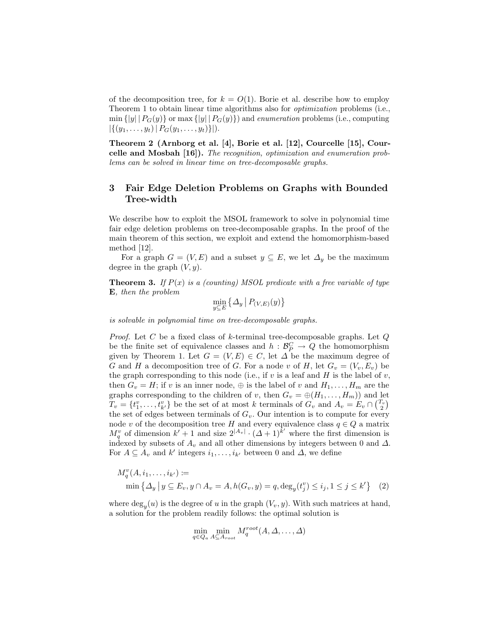of the decomposition tree, for  $k = O(1)$ . Borie et al. describe how to employ Theorem 1 to obtain linear time algorithms also for optimization problems (i.e.,  $\min \{|y| | P_G(y)\}$  or  $\max \{|y| | P_G(y)\}$  and enumeration problems (i.e., computing  $|\{(y_1,\ldots,y_t)\,|\,P_G(y_1,\ldots,y_t)\}|.$ 

Theorem 2 (Arnborg et al. [4], Borie et al. [12], Courcelle [15], Courcelle and Mosbah [16]). The recognition, optimization and enumeration problems can be solved in linear time on tree-decomposable graphs.

# 3 Fair Edge Deletion Problems on Graphs with Bounded Tree-width

We describe how to exploit the MSOL framework to solve in polynomial time fair edge deletion problems on tree-decomposable graphs. In the proof of the main theorem of this section, we exploit and extend the homomorphism-based method [12].

For a graph  $G = (V, E)$  and a subset  $y \subseteq E$ , we let  $\Delta_y$  be the maximum degree in the graph  $(V, y)$ .

**Theorem 3.** If  $P(x)$  is a (counting) MSOL predicate with a free variable of type E, then the problem

$$
\min_{y \subseteq E} \left\{ \Delta_y \, \big| \, P_{(V,E)}(y) \right\}
$$

is solvable in polynomial time on tree-decomposable graphs.

*Proof.* Let C be a fixed class of k-terminal tree-decomposable graphs. Let  $Q$ be the finite set of equivalence classes and  $h : \mathcal{B}_P^C \to Q$  the homomorphism given by Theorem 1. Let  $G = (V, E) \in C$ , let  $\Delta$  be the maximum degree of G and H a decomposition tree of G. For a node v of H, let  $G_v = (V_v, E_v)$  be the graph corresponding to this node (i.e., if v is a leaf and H is the label of v, then  $G_v = H$ ; if v is an inner node,  $\oplus$  is the label of v and  $H_1, \ldots, H_m$  are the graphs corresponding to the children of v, then  $G_v = \bigoplus (H_1, \ldots, H_m)$  and let  $T_v = \{t_1^v, \ldots, t_{k'}^v\}$  be the set of at most k terminals of  $G_v$  and  $A_v = E_v \cap {T_v \choose 2}$ the set of edges between terminals of  $G_v$ . Our intention is to compute for every node v of the decomposition tree H and every equivalence class  $q \in Q$  a matrix  $M_q^v$  of dimension  $k' + 1$  and size  $2^{|A_v|} \cdot (\Delta + 1)^{\hat{k}'}$  where the first dimension is indexed by subsets of  $A_v$  and all other dimensions by integers between 0 and  $\Delta$ . For  $A \subseteq A_v$  and  $k'$  integers  $i_1, \ldots, i_{k'}$  between 0 and  $\Delta$ , we define

$$
M_q^v(A, i_1, \dots, i_{k'}) :=
$$
  
\n
$$
\min \{ \Delta_y \mid y \subseteq E_v, y \cap A_v = A, h(G_v, y) = q, \deg_y(t_j^v) \le i_j, 1 \le j \le k' \} \quad (2)
$$

where  $\deg_y(u)$  is the degree of u in the graph  $(V_v, y)$ . With such matrices at hand, a solution for the problem readily follows: the optimal solution is

$$
\min_{q \in Q_a} \min_{A \subseteq A_{root}} M_q^{root}(A, \Delta, \dots, \Delta)
$$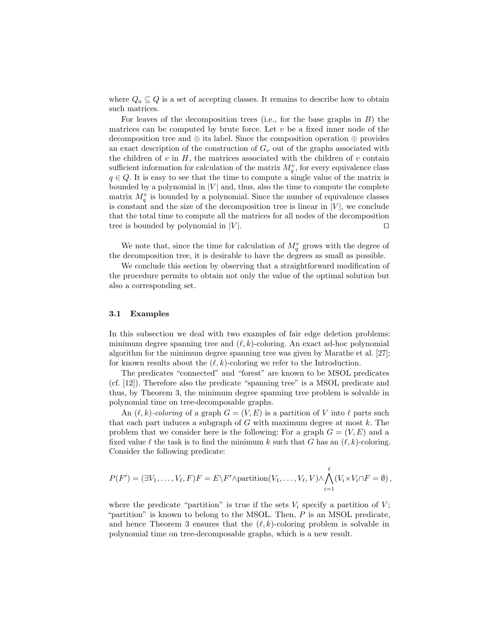where  $Q_a \subseteq Q$  is a set of accepting classes. It remains to describe how to obtain such matrices.

For leaves of the decomposition trees (i.e., for the base graphs in  $B$ ) the matrices can be computed by brute force. Let  $v$  be a fixed inner node of the decomposition tree and  $\oplus$  its label. Since the composition operation  $\oplus$  provides an exact description of the construction of  $G_v$  out of the graphs associated with the children of  $v$  in  $H$ , the matrices associated with the children of  $v$  contain sufficient information for calculation of the matrix  $M_q^v$ , for every equivalence class  $q \in Q$ . It is easy to see that the time to compute a single value of the matrix is bounded by a polynomial in  $|V|$  and, thus, also the time to compute the complete matrix  $M_q^v$  is bounded by a polynomial. Since the number of equivalence classes is constant and the size of the decomposition tree is linear in  $|V|$ , we conclude that the total time to compute all the matrices for all nodes of the decomposition tree is bounded by polynomial in  $|V|$ .

We note that, since the time for calculation of  $M_q^v$  grows with the degree of the decomposition tree, it is desirable to have the degrees as small as possible.

We conclude this section by observing that a straightforward modification of the procedure permits to obtain not only the value of the optimal solution but also a corresponding set.

#### 3.1 Examples

In this subsection we deal with two examples of fair edge deletion problems: minimum degree spanning tree and  $(\ell, k)$ -coloring. An exact ad-hoc polynomial algorithm for the minimum degree spanning tree was given by Marathe et al. [27]; for known results about the  $(\ell, k)$ -coloring we refer to the Introduction.

The predicates "connected" and "forest" are known to be MSOL predicates (cf. [12]). Therefore also the predicate "spanning tree" is a MSOL predicate and thus, by Theorem 3, the minimum degree spanning tree problem is solvable in polynomial time on tree-decomposable graphs.

An  $(\ell, k)$ -coloring of a graph  $G = (V, E)$  is a partition of V into  $\ell$  parts such that each part induces a subgraph of  $G$  with maximum degree at most  $k$ . The problem that we consider here is the following: For a graph  $G = (V, E)$  and a fixed value  $\ell$  the task is to find the minimum k such that G has an  $(\ell, k)$ -coloring. Consider the following predicate:

$$
P(F') = (\exists V_1, \ldots, V_\ell, F) F = E \backslash F' \wedge partition(V_1, \ldots, V_\ell, V) \wedge \bigwedge_{i=1}^\ell (V_i \times V_i \cap F = \emptyset),
$$

where the predicate "partition" is true if the sets  $V_i$  specify a partition of  $V$ ; "partition" is known to belong to the MSOL. Then,  $P$  is an MSOL predicate, and hence Theorem 3 ensures that the  $(\ell, k)$ -coloring problem is solvable in polynomial time on tree-decomposable graphs, which is a new result.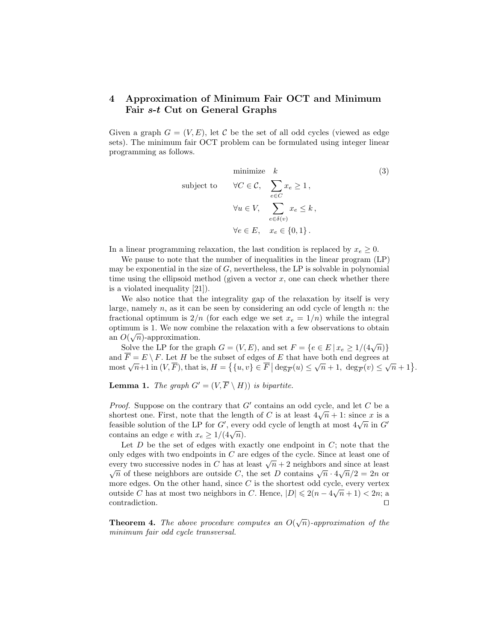# 4 Approximation of Minimum Fair OCT and Minimum Fair s-t Cut on General Graphs

Given a graph  $G = (V, E)$ , let C be the set of all odd cycles (viewed as edge sets). The minimum fair OCT problem can be formulated using integer linear programming as follows.

minimize 
$$
k
$$
 (3)  
\nsubject to  $\forall C \in \mathcal{C}, \sum_{e \in C} x_e \ge 1,$   
\n $\forall u \in V, \sum_{e \in \delta(v)} x_e \le k,$   
\n $\forall e \in E, x_e \in \{0, 1\}.$ 

In a linear programming relaxation, the last condition is replaced by  $x_e \geq 0$ .

We pause to note that the number of inequalities in the linear program (LP) may be exponential in the size of  $G$ , nevertheless, the LP is solvable in polynomial time using the ellipsoid method (given a vector  $x$ , one can check whether there is a violated inequality [21]).

We also notice that the integrality gap of the relaxation by itself is very large, namely  $n$ , as it can be seen by considering an odd cycle of length  $n$ : the fractional optimum is  $2/n$  (for each edge we set  $x_e = 1/n$ ) while the integral optimum is 1. We now combine the relaxation with a few observations to obtain an  $O(\sqrt{n})$ -approximation.

Solve the LP for the graph  $G = (V, E)$ , and set  $F = \{e \in E \mid x_e \ge 1/(4\sqrt{n})\}$ and  $\overline{F} = E \setminus F$ . Let H be the subset of edges of E that have both end degrees at and  $F \equiv E \setminus F$ . Let  $H$  be the subset of edges of  $E$  that have both end degrees at  $\text{most } \sqrt{n+1}$  in  $(V, \overline{F})$ , that is,  $H = \{ \{u, v\} \in \overline{F} \mid \deg_{\overline{F}}(u) \leq \sqrt{n} + 1, \deg_{\overline{F}}(v) \leq \sqrt{n} + 1 \}$ .

**Lemma 1.** The graph  $G' = (V, \overline{F} \setminus H)$  is bipartite.

*Proof.* Suppose on the contrary that  $G'$  contains an odd cycle, and let  $C$  be a *Froof.* Suppose on the contrary that G contains an odd cycle, and let C be a shortest one. First, note that the length of C is at least  $4\sqrt{n} + 1$ : since x is a shortest one. First, note that the length of C is at least  $4\sqrt{n+1}$ ; since x is a feasible solution of the LP for G', every odd cycle of length at most  $4\sqrt{n}$  in G' contains an edge e with  $x_e \geq 1/(4\sqrt{n})$ .

Let  $D$  be the set of edges with exactly one endpoint in  $C$ ; note that the only edges with two endpoints in  $C$  are edges of the cycle. Since at least one of every two successive nodes in C has at least  $\sqrt{n} + 2$  neighbors and since at least  $\sqrt{n} + 2$  neighbors and since at least Equal to these neighbors are outside C, the set D contains  $\sqrt{n} \cdot 4\sqrt{n}/2 = 2n$  or more edges. On the other hand, since C is the shortest odd cycle, every vertex outside C has at most two neighbors in C. Hence,  $|D| \leq 2(n - 4\sqrt{n} + 1) < 2n$ ; a contradiction.  $\Box$ 

**Theorem 4.** The above procedure computes an  $O(\sqrt{n})$ -approximation of the minimum fair odd cycle transversal.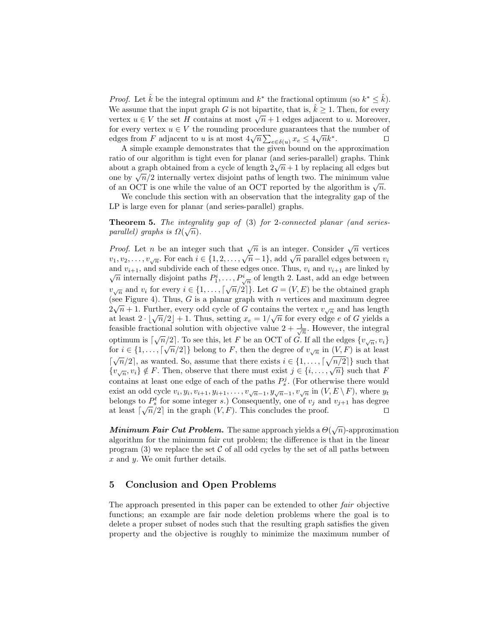*Proof.* Let  $\hat{k}$  be the integral optimum and  $k^*$  the fractional optimum (so  $k^* \leq \hat{k}$ ). We assume that the input graph G is not bipartite, that is,  $\hat{k} \geq 1$ . Then, for every we assume that the input graph G is not originate, that is,  $\kappa \geq 1$ . Then, for every vertex  $u \in V$  the set H contains at most  $\sqrt{n} + 1$  edges adjacent to u. Moreover, for every vertex  $u \in V$  the rounding procedure guarantees that the number of For every vertex  $u \in V$  the rounding procedure guarantees that<br>edges from F adjacent to u is at most  $4\sqrt{n} \sum_{e \in \delta(u)} x_e \le 4\sqrt{n}k^*$ .  $\Box$ 

A simple example demonstrates that the given bound on the approximation ratio of our algorithm is tight even for planar (and series-parallel) graphs. Think ratio or our algorithm is tight even for planar (and series-paraller) graphs. Think<br>about a graph obtained from a cycle of length  $2\sqrt{n}+1$  by replacing all edges but about a graph obtained from a cycle of length  $2\sqrt{n+1}$  by replacing an edges but<br>one by  $\sqrt{n}/2$  internally vertex disjoint paths of length two. The minimum value of an OCT is one while the value of an OCT reported by the algorithm is  $\sqrt{n}$ .

We conclude this section with an observation that the integrality gap of the LP is large even for planar (and series-parallel) graphs.

**Theorem 5.** The integrality gap of (3) for 2-connected planar (and seriesparallel) graphs is  $\Omega(\sqrt{n})$ .

*Proof.* Let *n* be an integer such that  $\sqrt{n}$  is an integer. Consider  $\sqrt{n}$  vertices *v*<sub>1</sub>,  $v_2, \ldots, v_{\sqrt{n}}$ . For each  $i \in \{1, 2, \ldots, \sqrt{n-1}\}$ , add  $\sqrt{n}$  parallel edges between  $v_i$ and  $v_{i+1}$ , and subdivide each of these edges once. Thus,  $v_i$  and  $v_{i+1}$  are linked by  $\overline{n}$  internally disjoint paths  $P_1^i, \ldots, P_{\sqrt{n}}^i$  of length 2. Last, add an edge between  $v_{\sqrt{n}}$  and  $v_i$  for every  $i \in \{1, \ldots, \lceil \sqrt{n}/2 \rceil\}$ . Let  $G = (V, E)$  be the obtained graph (see Figure 4). Thus, G is a planar graph with n vertices and maximum degree  $2\sqrt{n}+1$ . Further, every odd cycle of G contains the vertex  $v_{\sqrt{n}}$  and has length  $2\sqrt{n+1}$ . Further, every odd cycle of G contains the vertex  $v\sqrt{n}$  and has length at least  $2 \cdot \lfloor \sqrt{n}/2 \rfloor + 1$ . Thus, setting  $x_e = 1/\sqrt{n}$  for every edge e of G yields a feasible fractional solution with objective value  $2 + \frac{1}{\sqrt{n}}$ . However, the integral optimum is  $\lceil \sqrt{n}/2 \rceil$ . To see this, let F be an OCT of G. If all the edges  $\{v_{\sqrt{n}}, v_i\}$ for  $i \in \{1, \ldots, \lceil \sqrt{n}/2 \rceil\}$  belong to F, then the degree of  $v_{\sqrt{n}}$  in  $(V, F)$  is at least  $\lceil \sqrt{n}/2 \rceil$ , as wanted. So, assume that there exists  $i \in \{1, ..., \lceil \sqrt{n}/2 \rceil\}$  such that  ${v \in \{1, \ldots, |\sqrt{n}/2|\}}$  such that  ${v \in \{1, \ldots, |\sqrt{n}/2|\}}$  such that  ${v \sqrt{n}, v_i\} \notin F$ . Then, observe that there must exist  $j \in \{i, \ldots, \sqrt{n}\}$  such that F contains at least one edge of each of the paths  $P_s^j$ . (For otherwise there would exist an odd cycle  $v_i, y_i, v_{i+1}, y_{i+1}, \ldots, v_{\sqrt{n}-1}, y_{\sqrt{n}-1}, v_{\sqrt{n}}$  in  $(V, E \setminus F)$ , where  $y_t$ belongs to  $P_s^t$  for some integer s.) Consequently, one of  $v_j$  and  $v_{j+1}$  has degree at least  $\lceil \sqrt{n}/2 \rceil$  in the graph  $(V, F)$ . This concludes the proof.

**Minimum Fair Cut Problem.** The same approach yields a  $\Theta(\sqrt{n})$ -approximation algorithm for the minimum fair cut problem; the difference is that in the linear program  $(3)$  we replace the set C of all odd cycles by the set of all paths between  $x$  and  $y$ . We omit further details.

### 5 Conclusion and Open Problems

The approach presented in this paper can be extended to other *fair* objective functions; an example are fair node deletion problems where the goal is to delete a proper subset of nodes such that the resulting graph satisfies the given property and the objective is roughly to minimize the maximum number of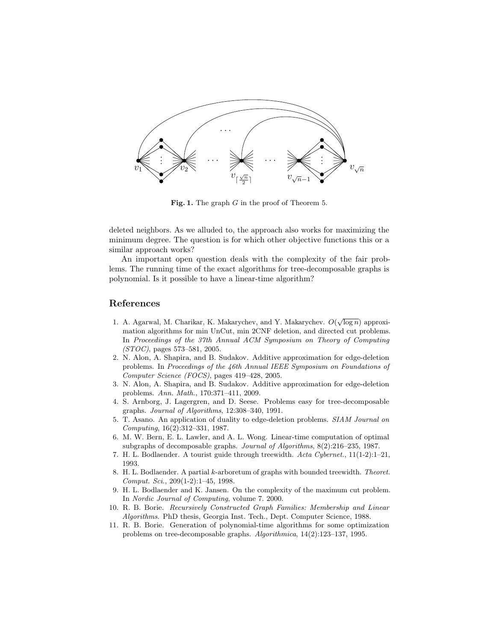

Fig. 1. The graph G in the proof of Theorem 5.

deleted neighbors. As we alluded to, the approach also works for maximizing the minimum degree. The question is for which other objective functions this or a similar approach works?

An important open question deals with the complexity of the fair problems. The running time of the exact algorithms for tree-decomposable graphs is polynomial. Is it possible to have a linear-time algorithm?

### References

- 1. A. Agarwal, M. Charikar, K. Makarychev, and Y. Makarychev.  $O(\sqrt{\log n})$  approximation algorithms for min UnCut, min 2CNF deletion, and directed cut problems. In Proceedings of the 37th Annual ACM Symposium on Theory of Computing (STOC), pages 573–581, 2005.
- 2. N. Alon, A. Shapira, and B. Sudakov. Additive approximation for edge-deletion problems. In Proceedings of the 46th Annual IEEE Symposium on Foundations of Computer Science (FOCS), pages 419–428, 2005.
- 3. N. Alon, A. Shapira, and B. Sudakov. Additive approximation for edge-deletion problems. Ann. Math., 170:371–411, 2009.
- 4. S. Arnborg, J. Lagergren, and D. Seese. Problems easy for tree-decomposable graphs. Journal of Algorithms, 12:308–340, 1991.
- 5. T. Asano. An application of duality to edge-deletion problems. SIAM Journal on Computing, 16(2):312–331, 1987.
- 6. M. W. Bern, E. L. Lawler, and A. L. Wong. Linear-time computation of optimal subgraphs of decomposable graphs. Journal of Algorithms, 8(2):216–235, 1987.
- 7. H. L. Bodlaender. A tourist guide through treewidth. Acta Cybernet., 11(1-2):1–21, 1993.
- 8. H. L. Bodlaender. A partial k-arboretum of graphs with bounded treewidth. Theoret. Comput. Sci., 209(1-2):1–45, 1998.
- 9. H. L. Bodlaender and K. Jansen. On the complexity of the maximum cut problem. In Nordic Journal of Computing, volume 7. 2000.
- 10. R. B. Borie. Recursively Constructed Graph Families: Membership and Linear Algorithms. PhD thesis, Georgia Inst. Tech., Dept. Computer Science, 1988.
- 11. R. B. Borie. Generation of polynomial-time algorithms for some optimization problems on tree-decomposable graphs. Algorithmica, 14(2):123–137, 1995.